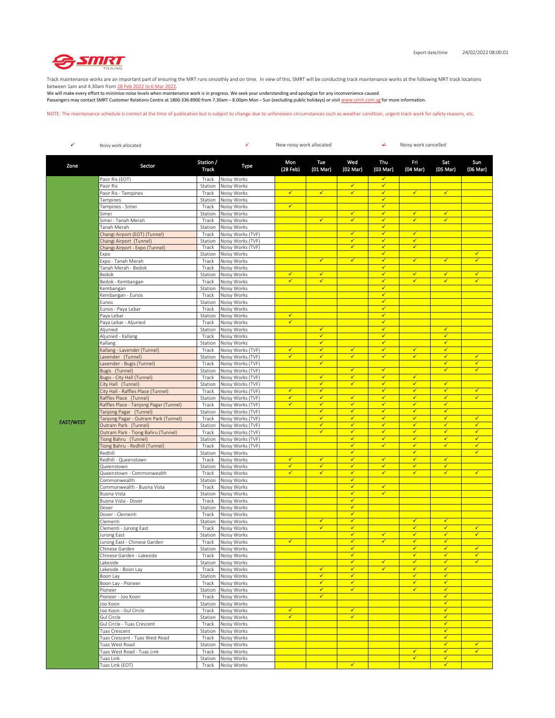

Track maintenance works are an important part of ensuring the MRT runs smoothly and on time. In view of this, SMRT will be conducting track maintenance works at the following MRT track locations between 1am and 4.30am from 28 Feb 2022 to 6 Mar 2022.

We will make every effort to minimize noise levels when maintenance work is in progress. We seek your understanding and apologize for any inconvenience caused. Passengers may contact SMRT Customer Relations Centre at 1800-336-8900 from 7.30am – 8.00pm Mon – Sun (excluding public holidays) or visit www.smrt.com.sg for more information.

NOTE: The maintenance schedule is correct at the time of publication but is subject to change due to unforeseen circumstances such as weather condition, urgent track work for safety reasons, etc.

| ✓                | Noisy work allocated                                       |                    | ✓<br>New noisy work allocated          |                              |                   | ↚                            | Noisy work cancelled         |                              |                              |                   |
|------------------|------------------------------------------------------------|--------------------|----------------------------------------|------------------------------|-------------------|------------------------------|------------------------------|------------------------------|------------------------------|-------------------|
| Zone             | Sector                                                     | Station /<br>Track | Type                                   | Mon<br>(28 Feb)              | Tue<br>(01 Mar)   | Wed<br>(02 Mar)              | Thu<br>(03 Mar)              | Fri<br>(04 Mar)              | Sat<br>(05 Mar)              | Sun<br>(06 Mar)   |
|                  | Pasir Ris (EOT)                                            | Track              | Noisy Works                            |                              |                   |                              | $\checkmark$                 |                              |                              |                   |
|                  | Pasir Ris                                                  | Station            | Noisy Works                            |                              |                   | ✓                            | $\checkmark$                 |                              |                              |                   |
|                  | Pasir Ris - Tampines                                       | Track              | Noisy Works                            | $\checkmark$                 | $\checkmark$      | ✓                            | ✔                            | $\checkmark$                 | $\checkmark$                 |                   |
|                  | Tampines                                                   | Station            | Noisy Works                            |                              |                   |                              | ✔                            |                              |                              |                   |
|                  | Tampines - Simei                                           | Track              | Noisy Works                            | ✓                            |                   |                              | ✓                            |                              |                              |                   |
|                  | Simei<br>Simei - Tanah Merah                               | Station<br>Track   | Noisy Works<br>Noisy Works             |                              | $\checkmark$      | ✓<br>✓                       | ✓<br>$\checkmark$            | ✓<br>✓                       | $\checkmark$<br>$\checkmark$ |                   |
|                  | Tanah Merah                                                | Station            | Noisy Works                            |                              |                   |                              | $\checkmark$                 |                              |                              |                   |
|                  | Changi Airport (EOT) (Tunnel)                              | Track              | Noisy Works (TVF)                      |                              |                   | $\checkmark$                 | $\checkmark$                 | $\checkmark$                 |                              |                   |
|                  | Changi Airport (Tunnel)                                    | Station            | Noisy Works (TVF)                      |                              |                   | ✓                            | $\checkmark$                 | ✓                            |                              |                   |
|                  | Changi Airport - Expo (Tunnel)                             | Track              | Noisy Works (TVF)                      |                              |                   | ✓                            | $\checkmark$                 | $\checkmark$                 |                              |                   |
|                  | Expo                                                       | Station            | Noisy Works                            |                              |                   |                              | ✓                            |                              |                              | ✓                 |
|                  | Expo - Tanah Merah                                         | Track              | Noisy Works                            |                              | $\checkmark$      | $\checkmark$                 | $\checkmark$                 | $\checkmark$                 | $\checkmark$                 | ✓                 |
|                  | Tanah Merah - Bedok                                        | Track              | Noisy Works                            | ✓                            | ✔                 |                              | ✔<br>$\checkmark$            | ✓                            | $\checkmark$                 | ✓                 |
|                  | Bedok<br>Bedok - Kembangan                                 | Station<br>Track   | Noisy Works<br>Noisy Works             | ✓                            | $\checkmark$      |                              | ✔                            | ✓                            | $\checkmark$                 | ✓                 |
|                  | Kembangan                                                  | Station            | Noisy Works                            |                              |                   |                              | $\checkmark$                 |                              |                              |                   |
|                  | Kembangan - Eunos                                          | Track              | Noisy Works                            |                              |                   |                              | ✓                            |                              |                              |                   |
|                  | Eunos                                                      | Station            | Noisy Works                            |                              |                   |                              | $\checkmark$                 |                              |                              |                   |
|                  | Eunos - Paya Lebar                                         | Track              | Noisy Works                            |                              |                   |                              | $\checkmark$                 |                              |                              |                   |
|                  | Paya Lebar                                                 | Station            | Noisy Works                            | $\checkmark$                 |                   |                              | $\checkmark$                 |                              |                              |                   |
|                  | Paya Lebar - Aljunied                                      | Track              | Noisy Works                            | $\checkmark$                 |                   |                              | $\checkmark$                 |                              |                              |                   |
|                  | Aljunied                                                   | Station            | Noisy Works                            |                              | $\checkmark$      |                              | $\checkmark$                 |                              | $\checkmark$                 |                   |
|                  | Aljunied - Kallang                                         | Track              | Noisy Works                            |                              | $\checkmark$      |                              | $\checkmark$                 |                              | $\checkmark$                 |                   |
|                  | Kallang                                                    | Station            | Noisy Works                            |                              | $\checkmark$      |                              | $\checkmark$                 |                              | $\checkmark$                 |                   |
|                  | Kallang - Lavender (Tunnel)                                | Track              | Noisy Works (TVF)<br>Noisy Works (TVF) | $\checkmark$<br>$\checkmark$ | $\checkmark$<br>✓ | $\checkmark$<br>✓            | $\checkmark$<br>✓            | ✓<br>✓                       | $\checkmark$<br>$\checkmark$ | ✓                 |
|                  | Lavender (Tunnel)<br>Lavender - Bugis (Tunnel)             | Station<br>Track   | Noisy Works (TVF)                      |                              | $\checkmark$      |                              |                              |                              | $\checkmark$                 | $\checkmark$      |
|                  | Bugis (Tunnel)                                             | Station            | Noisy Works (TVF)                      |                              |                   | $\checkmark$                 | $\checkmark$                 |                              | ✓                            | ✓                 |
|                  | Bugis - City Hall (Tunnel)                                 | Track              | Noisy Works (TVF)                      |                              | $\checkmark$      | $\checkmark$                 | $\checkmark$                 | $\checkmark$                 |                              |                   |
|                  | City Hall (Tunnel)                                         | Station            | Noisy Works (TVF)                      |                              | $\checkmark$      | $\checkmark$                 | $\checkmark$                 | $\checkmark$                 | $\checkmark$                 |                   |
|                  | City Hall - Raffles Place (Tunnel)                         | Track              | Noisy Works (TVF)                      | $\checkmark$                 | $\checkmark$      |                              | $\checkmark$                 | $\checkmark$                 | $\checkmark$                 | $\checkmark$      |
|                  | Raffles Place (Tunnel)                                     | Station            | Noisy Works (TVF)                      | ✓                            | $\checkmark$      | ✓                            | $\checkmark$                 | ✓                            | $\checkmark$                 | ✓                 |
|                  | Raffles Place - Tanjong Pagar (Tunnel)                     | Track              | Noisy Works (TVF)                      | $\checkmark$                 | $\checkmark$      | $\checkmark$                 | $\checkmark$                 | ✓                            | $\checkmark$                 |                   |
|                  | Tanjong Pagar (Tunnel)                                     | Station            | Noisy Works (TVF)                      |                              | $\checkmark$      | ✓                            | $\checkmark$                 | $\checkmark$                 | $\checkmark$                 |                   |
| <b>EAST/WEST</b> | Tanjong Pagar - Outram Park (Tunnel)                       | Track              | Noisy Works (TVF)                      |                              | $\checkmark$<br>✓ | ✓<br>✓                       | $\checkmark$<br>$\checkmark$ | ✓<br>✓                       | $\checkmark$<br>$\checkmark$ | ✓<br>✓            |
|                  | Outram Park (Tunnel)<br>Outram Park - Tiong Bahru (Tunnel) | Station<br>Track   | Noisy Works (TVF)<br>Noisy Works (TVF) |                              | $\checkmark$      | $\checkmark$                 | $\checkmark$                 | $\checkmark$                 | $\checkmark$                 | $\checkmark$      |
|                  | Tiong Bahru (Tunnel)                                       | Station            | Noisy Works (TVF)                      |                              |                   | ✓                            | ✔                            | ✓                            | $\checkmark$                 | ✓                 |
|                  | Tiong Bahru - Redhill (Tunnel)                             | Track              | Noisy Works (TVF)                      |                              |                   | ✓                            | $\checkmark$                 | √                            | $\checkmark$                 | ✓                 |
|                  | Redhill                                                    | Station            | Noisy Works                            |                              |                   | ✓                            |                              | ✓                            |                              | ✓                 |
|                  | Redhill - Queenstown                                       | Track              | Noisy Works                            | ✓                            | $\checkmark$      | ✓                            | $\checkmark$                 | ✓                            | $\checkmark$                 |                   |
|                  | Queenstown                                                 | Station            | Noisy Works                            | $\checkmark$                 | √                 | ✓                            | $\checkmark$                 | ✓                            | $\checkmark$                 |                   |
|                  | Queenstown - Commonwealth                                  | Track              | Noisy Works                            | ✓                            | $\checkmark$      | ✓                            | $\checkmark$                 | ✓                            | $\checkmark$                 | ✓                 |
|                  | Commonwealth                                               | Station            | Noisy Works                            |                              |                   | ✓                            | ✔                            |                              |                              |                   |
|                  | Commonwealth - Buona Vista                                 | Track              | Noisy Works                            |                              |                   | ✓<br>✓                       | $\checkmark$                 |                              |                              |                   |
|                  | Buona Vista                                                | Station            | Noisy Works                            |                              |                   | ✓                            |                              |                              |                              |                   |
|                  | Buona Vista - Dover<br>Dover                               | Track<br>Station   | Noisy Works<br>Noisy Works             |                              |                   | $\checkmark$                 |                              |                              |                              |                   |
|                  | Dover - Clementi                                           | Track              | Noisy Works                            |                              |                   | ✓                            |                              |                              |                              |                   |
|                  | Clementi                                                   | Station            | Noisy Works                            |                              | $\checkmark$      | $\checkmark$                 |                              | $\checkmark$                 | $\checkmark$                 |                   |
|                  | Clementi - Jurong East                                     | Track              | Noisy Works                            |                              | ✓                 | $\checkmark$                 |                              | ✓                            | $\checkmark$                 | $\checkmark$      |
|                  | lurong East                                                | Station            | Noisy Works                            |                              |                   | $\checkmark$                 | $\checkmark$                 | ✓                            | $\checkmark$                 | $\checkmark$      |
|                  | Jurong East - Chinese Garden                               | Track              | Noisy Works                            | ✓                            |                   | ✓                            | $\checkmark$                 | ✓                            | ✓                            |                   |
|                  | Chinese Garden                                             |                    | Station Noisy Works                    |                              |                   | ✓                            |                              | ✓                            |                              | ✓                 |
|                  | Chinese Garden - Lakeside<br>Lakeside                      | Track              | Noisy Works                            |                              |                   | $\checkmark$<br>$\checkmark$ | $\checkmark$                 | $\checkmark$<br>$\checkmark$ | $\checkmark$<br>$\checkmark$ | ✓<br>$\checkmark$ |
|                  | Lakeside - Boon Lay                                        | Station<br>Track   | Noisy Works<br>Noisy Works             |                              | $\checkmark$      | $\checkmark$                 | $\checkmark$                 | $\checkmark$                 | $\checkmark$                 |                   |
|                  | Boon Lay                                                   | Station            | Noisy Works                            |                              | $\checkmark$      | $\checkmark$                 |                              | $\checkmark$                 | $\checkmark$                 |                   |
|                  | Boon Lay - Pioneer                                         | Track              | Noisy Works                            |                              | $\checkmark$      | $\checkmark$                 |                              | ✓                            | $\checkmark$                 |                   |
|                  | Pioneer                                                    | Station            | Noisy Works                            |                              | $\checkmark$      | $\checkmark$                 |                              | $\checkmark$                 | $\checkmark$                 |                   |
|                  | Pioneer - Joo Koon                                         | Track              | Noisy Works                            |                              | ✓                 |                              |                              |                              | $\checkmark$                 |                   |
|                  | Joo Koon                                                   | Station            | Noisy Works                            |                              |                   |                              |                              |                              | $\checkmark$                 |                   |
|                  | Joo Koon - Gul Circle                                      | Track              | Noisy Works                            | $\checkmark$                 |                   | $\checkmark$                 |                              |                              | $\checkmark$                 |                   |
|                  | Gul Circle                                                 | Station            | Noisy Works                            | $\checkmark$                 |                   | $\checkmark$                 |                              |                              | $\checkmark$                 |                   |
|                  | Gul Circle - Tuas Crescent                                 | Track              | Noisy Works                            |                              |                   |                              |                              |                              | $\checkmark$<br>$\checkmark$ |                   |
|                  | Tuas Crescent<br>Tuas Crescent - Tuas West Road            | Track              | Station Noisy Works<br>Noisy Works     |                              |                   |                              |                              |                              | $\checkmark$                 |                   |
|                  | Tuas West Road                                             |                    | Station Noisy Works                    |                              |                   |                              |                              |                              | $\checkmark$                 | $\checkmark$      |
|                  | Tuas West Road - Tuas Link                                 | Track              | Noisy Works                            |                              |                   |                              |                              | $\checkmark$                 | $\checkmark$                 | $\checkmark$      |
|                  | Tuas Link                                                  | Station            | Noisy Works                            |                              |                   |                              |                              | $\checkmark$                 | $\checkmark$                 |                   |
|                  | Tuas Link (EOT)                                            | Track              | Noisy Works                            |                              |                   | $\checkmark$                 |                              |                              | $\checkmark$                 |                   |